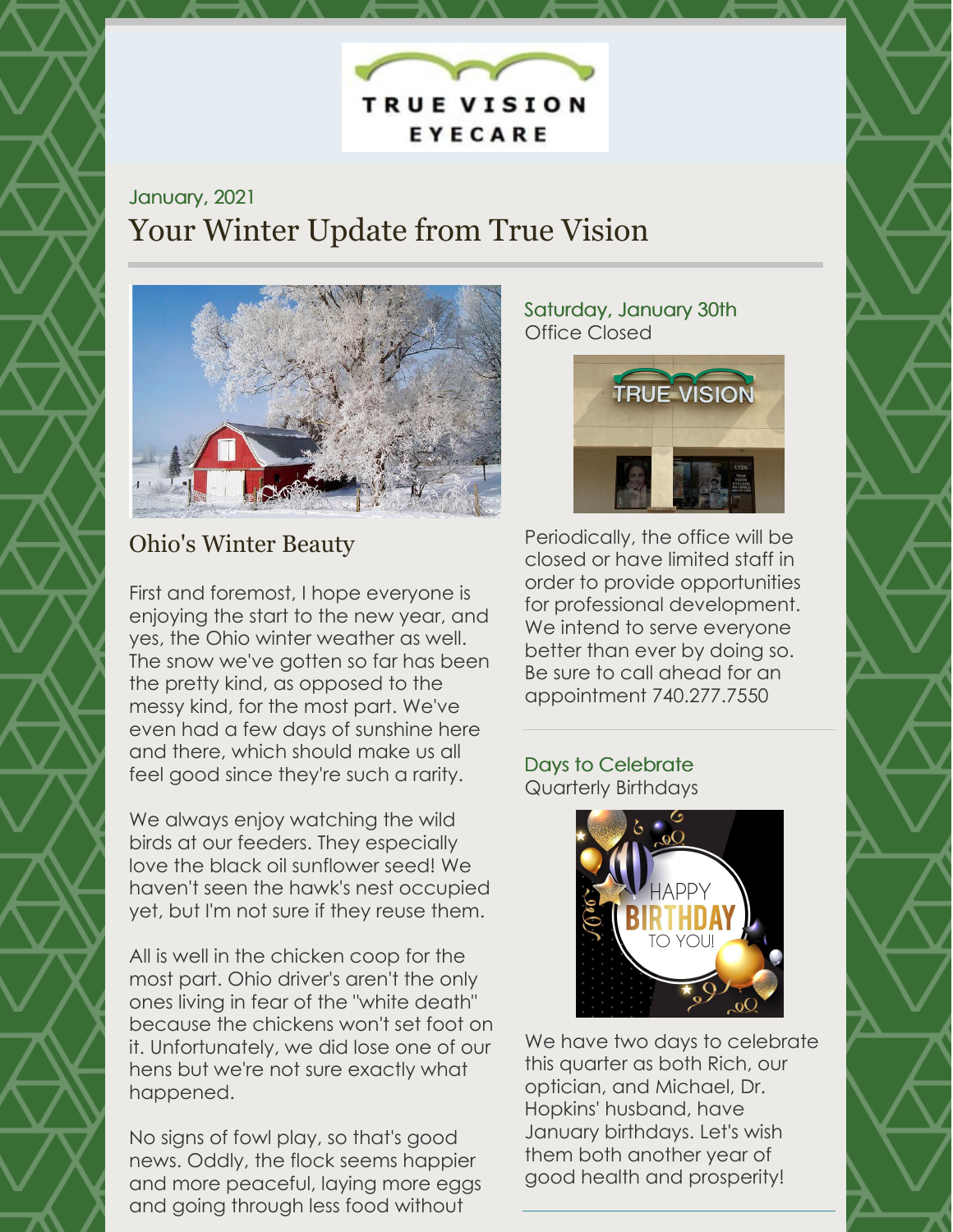EYECARE

**TRUE VISION** 

### January, 2021 Your Winter Update from True Vision



### Ohio's Winter Beauty

First and foremost, I hope everyone is enjoying the start to the new year, and yes, the Ohio winter weather as well. The snow we've gotten so far has been the pretty kind, as opposed to the messy kind, for the most part. We've even had a few days of sunshine here and there, which should make us all feel good since they're such a rarity.

We always enjoy watching the wild birds at our feeders. They especially love the black oil sunflower seed! We haven't seen the hawk's nest occupied yet, but I'm not sure if they reuse them.

All is well in the chicken coop for the most part. Ohio driver's aren't the only ones living in fear of the "white death" because the chickens won't set foot on it. Unfortunately, we did lose one of our hens but we're not sure exactly what happened.

No signs of fowl play, so that's good news. Oddly, the flock seems happier and more peaceful, laying more eggs and going through less food without

#### Saturday, January 30th Office Closed



Periodically, the office will be closed or have limited staff in order to provide opportunities for professional development. We intend to serve everyone better than ever by doing so. Be sure to call ahead for an appointment 740.277.7550

#### Days to Celebrate Quarterly Birthdays



We have two days to celebrate this quarter as both Rich, our optician, and Michael, Dr. Hopkins' husband, have January birthdays. Let's wish them both another year of good health and prosperity!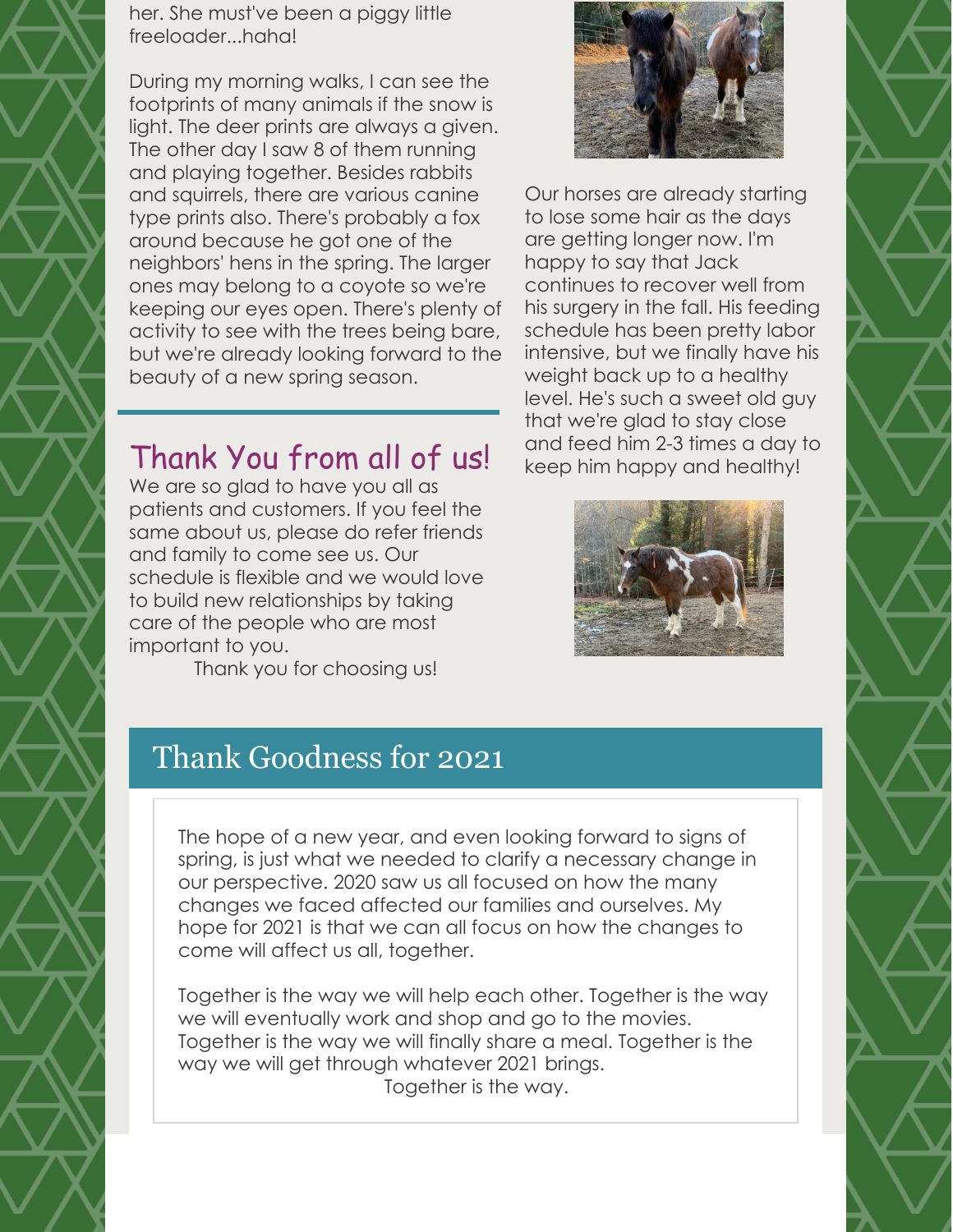her. She must've been a piggy little freeloader...haha!

During my morning walks, I can see the footprints of many animals if the snow is light. The deer prints are always a given. The other day I saw 8 of them running and playing together. Besides rabbits and squirrels, there are various canine type prints also. There's probably a fox around because he got one of the neighbors' hens in the spring. The larger ones may belong to a coyote so we're keeping our eyes open. There's plenty of activity to see with the trees being bare, but we're already looking forward to the beauty of a new spring season.

# Thank You from all of us!

We are so glad to have you all as patients and customers. If you feel the same about us, please do refer friends and family to come see us. Our schedule is flexible and we would love to build new relationships by taking care of the people who are most important to you.

Thank you for choosing us!



Our horses are already starting to lose some hair as the days are getting longer now. I'm happy to say that Jack continues to recover well from his surgery in the fall. His feeding schedule has been pretty labor intensive, but we finally have his weight back up to a healthy level. He's such a sweet old guy that we're glad to stay close and feed him 2-3 times a day to keep him happy and healthy!



## Thank Goodness for 2021

The hope of a new year, and even looking forward to signs of spring, is just what we needed to clarify a necessary change in our perspective. 2020 saw us all focused on how the many changes we faced affected our families and ourselves. My hope for 2021 is that we can all focus on how the changes to come will affect us all, together.

Together is the way we will help each other. Together is the way we will eventually work and shop and go to the movies. Together is the way we will finally share a meal. Together is the way we will get through whatever 2021 brings. Together is the way.